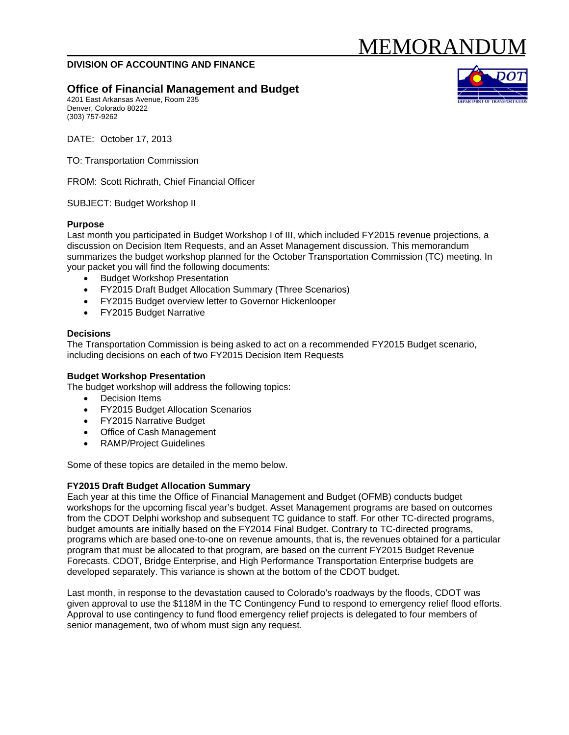# MEMORANDI

## DIVISION OF ACCOUNTING AND FINANCE

# **Office of Financial Management and Budget**

4201 East Arkansas Avenue, Room 235 Denver, Colorado 80222 (303) 757-9262



DATE: October 17, 2013

**TO: Transportation Commission** 

FROM: Scott Richrath, Chief Financial Officer

SUBJECT: Budget Workshop II

#### **Purpose**

Last month you participated in Budget Workshop I of III, which included FY2015 revenue projections, a discussion on Decision Item Requests, and an Asset Management discussion. This memorandum summarizes the budget workshop planned for the October Transportation Commission (TC) meeting. In your packet you will find the following documents:

- **Budget Workshop Presentation**
- FY2015 Draft Budget Allocation Summary (Three Scenarios)
- FY2015 Budget overview letter to Governor Hickenlooper
- FY2015 Budget Narrative

#### **Decisions**

The Transportation Commission is being asked to act on a recommended FY2015 Budget scenario, including decisions on each of two FY2015 Decision Item Requests

#### **Budget Workshop Presentation**

The budget workshop will address the following topics:

- Decision Items
- FY2015 Budget Allocation Scenarios
- FY2015 Narrative Budget
- Office of Cash Management
- RAMP/Project Guidelines

Some of these topics are detailed in the memo below.

#### **FY2015 Draft Budget Allocation Summary**

Each year at this time the Office of Financial Management and Budget (OFMB) conducts budget workshops for the upcoming fiscal year's budget. Asset Management programs are based on outcomes from the CDOT Delphi workshop and subsequent TC guidance to staff. For other TC-directed programs, budget amounts are initially based on the FY2014 Final Budget. Contrary to TC-directed programs, programs which are based one-to-one on revenue amounts, that is, the revenues obtained for a particular program that must be allocated to that program, are based on the current FY2015 Budget Revenue Forecasts. CDOT, Bridge Enterprise, and High Performance Transportation Enterprise budgets are developed separately. This variance is shown at the bottom of the CDOT budget.

Last month, in response to the devastation caused to Colorado's roadways by the floods, CDOT was given approval to use the \$118M in the TC Contingency Fund to respond to emergency relief flood efforts. Approval to use contingency to fund flood emergency relief projects is delegated to four members of senior management, two of whom must sign any request.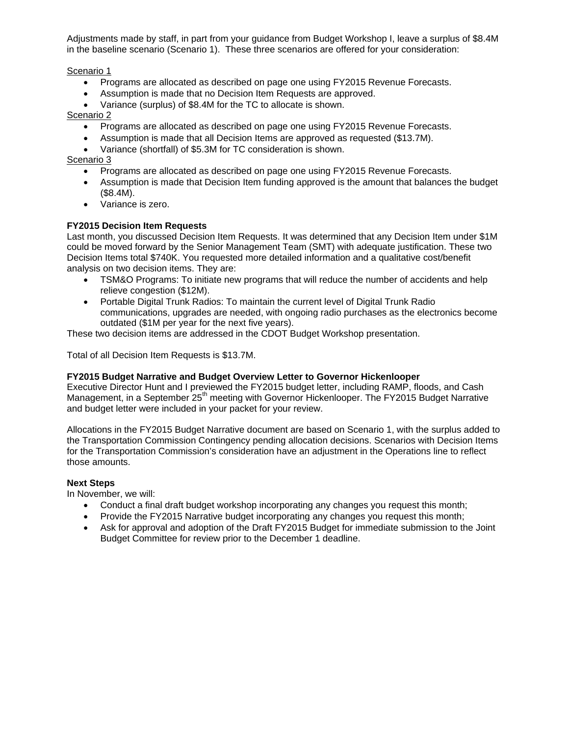Adjustments made by staff, in part from your guidance from Budget Workshop I, leave a surplus of \$8.4M in the baseline scenario (Scenario 1). These three scenarios are offered for your consideration:

Scenario 1

- Programs are allocated as described on page one using FY2015 Revenue Forecasts.
- Assumption is made that no Decision Item Requests are approved.
- Variance (surplus) of \$8.4M for the TC to allocate is shown.

Scenario 2

- Programs are allocated as described on page one using FY2015 Revenue Forecasts.
- Assumption is made that all Decision Items are approved as requested (\$13.7M).
- Variance (shortfall) of \$5.3M for TC consideration is shown.

Scenario 3

- Programs are allocated as described on page one using FY2015 Revenue Forecasts.
- Assumption is made that Decision Item funding approved is the amount that balances the budget (\$8.4M).
- Variance is zero.

## **FY2015 Decision Item Requests**

Last month, you discussed Decision Item Requests. It was determined that any Decision Item under \$1M could be moved forward by the Senior Management Team (SMT) with adequate justification. These two Decision Items total \$740K. You requested more detailed information and a qualitative cost/benefit analysis on two decision items. They are:

- TSM&O Programs: To initiate new programs that will reduce the number of accidents and help relieve congestion (\$12M).
- Portable Digital Trunk Radios: To maintain the current level of Digital Trunk Radio communications, upgrades are needed, with ongoing radio purchases as the electronics become outdated (\$1M per year for the next five years).

These two decision items are addressed in the CDOT Budget Workshop presentation.

Total of all Decision Item Requests is \$13.7M.

#### **FY2015 Budget Narrative and Budget Overview Letter to Governor Hickenlooper**

Executive Director Hunt and I previewed the FY2015 budget letter, including RAMP, floods, and Cash Management, in a September 25<sup>th</sup> meeting with Governor Hickenlooper. The FY2015 Budget Narrative and budget letter were included in your packet for your review.

Allocations in the FY2015 Budget Narrative document are based on Scenario 1, with the surplus added to the Transportation Commission Contingency pending allocation decisions. Scenarios with Decision Items for the Transportation Commission's consideration have an adjustment in the Operations line to reflect those amounts.

#### **Next Steps**

In November, we will:

- Conduct a final draft budget workshop incorporating any changes you request this month;
- Provide the FY2015 Narrative budget incorporating any changes you request this month;
- Ask for approval and adoption of the Draft FY2015 Budget for immediate submission to the Joint Budget Committee for review prior to the December 1 deadline.